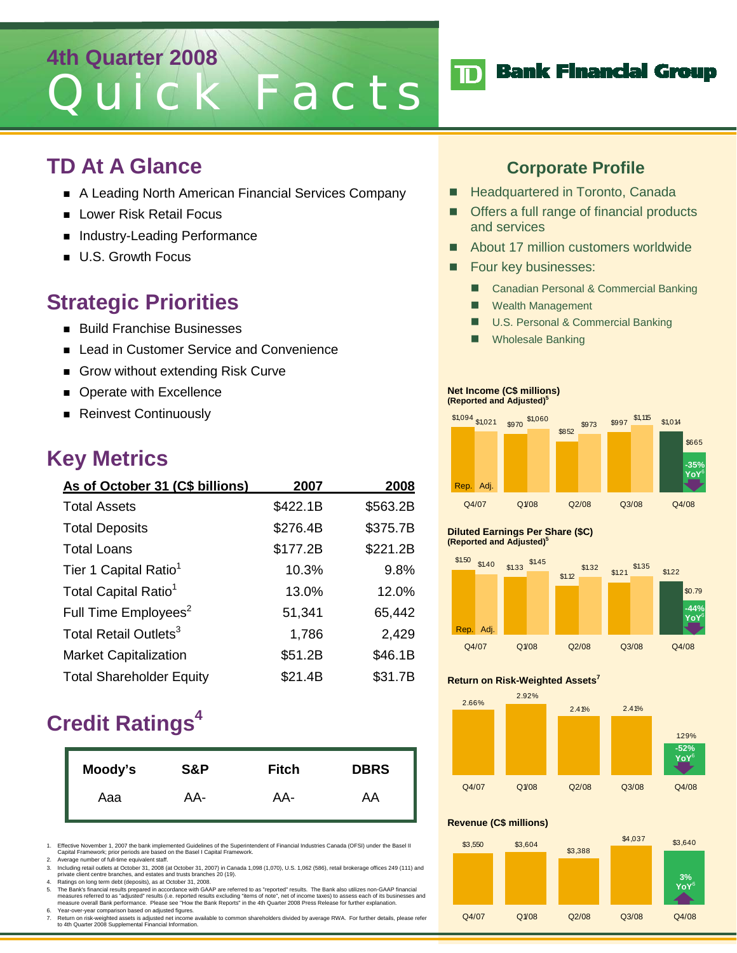# **4th Quarter 2008** Quick Facts

### **TD At A Glance**

- A Leading North American Financial Services Company
- **Lower Risk Retail Focus**
- Industry-Leading Performance
- **U.S. Growth Focus**

### **Strategic Priorities**

- **Build Franchise Businesses**
- Lead in Customer Service and Convenience
- Grow without extending Risk Curve
- **Derate with Excellence**
- **Reinvest Continuously**

### **Key Metrics**

| As of October 31 (C\$ billions)   | 2007     | 2008     |
|-----------------------------------|----------|----------|
| <b>Total Assets</b>               | \$422.1B | \$563.2B |
| <b>Total Deposits</b>             | \$276.4B | \$375.7B |
| <b>Total Loans</b>                | \$177.2B | \$221.2B |
| Tier 1 Capital Ratio <sup>1</sup> | 10.3%    | 9.8%     |
| Total Capital Ratio <sup>1</sup>  | 13.0%    | 12.0%    |
| Full Time Employees <sup>2</sup>  | 51,341   | 65,442   |
| Total Retail Outlets <sup>3</sup> | 1,786    | 2,429    |
| <b>Market Capitalization</b>      | \$51.2B  | \$46.1B  |
| <b>Total Shareholder Equity</b>   | \$21.4B  | \$31.7B  |

## **Credit Ratings4**

| Moody's | S&P | <b>Fitch</b> | <b>DBRS</b> |
|---------|-----|--------------|-------------|
| Aaa     | AA- | AA-          | AA          |

1. Effective November 1, 2007 the bank implemented Guidelines of the Superintendent of Financial Industries Canada (OFSI) under the Basel II Capital Framework; prior periods are based on the Basel I Capital Framework.

2. Average number of full-time equivalent staff.

3. Including retail outlets at October 31, 2008 (at October 31, 2007) in Canada 1,098 (1,070), U.S. 1,062 (586), retail brokerage offices 249 (111) and<br>private client centre branches, and estates and trusts branches 20 (19

4. Ratings on long term debt (deposits), as at October 31, 2008.<br>The Bank's financial results prepared in accordance with GAAP are referred to as "reported" results. The Bank also utilizes non-GAAP financial<br>measures refer 6. Year-over-year comparison based on adjusted figures.

7. Return on risk-weighted assets is adjusted net income available to common shareholders divided by average RWA. For further details, please refer to 4th Quarter 2008 Supplemental Financial Information.

### **Corporate Profile**

**TD** Bank Financial Group

- **Headquartered in Toronto, Canada**
- Offers a full range of financial products and services
- About 17 million customers worldwide
- **Four key businesses:** 
	- Canadian Personal & Commercial Banking
	- **Nealth Management**
	- U.S. Personal & Commercial Banking
	- Wholesale Banking

#### **Net Income (C\$ millions) (Reported and Adjusted)5**



#### **Diluted Earnings Per Share (\$C) (Reported and Adjusted)5**



#### **Return on Risk-Weighted Assets7**



#### **Revenue (C\$ millions)**